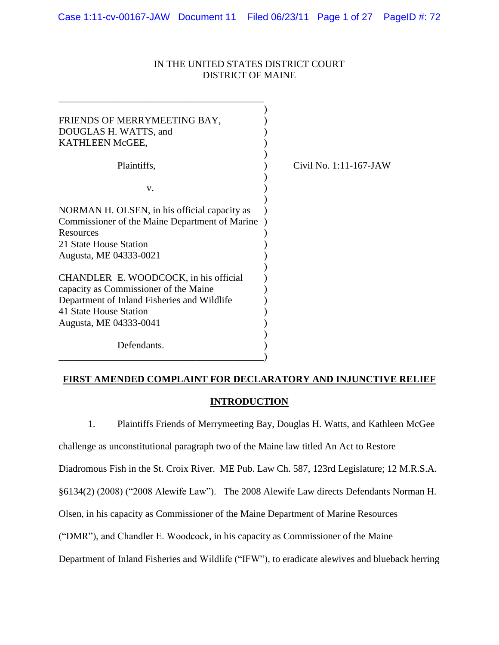# IN THE UNITED STATES DISTRICT COURT DISTRICT OF MAINE

| FRIENDS OF MERRYMEETING BAY,<br>DOUGLAS H. WATTS, and<br>KATHLEEN McGEE,                                                                                                          |                        |
|-----------------------------------------------------------------------------------------------------------------------------------------------------------------------------------|------------------------|
| Plaintiffs,                                                                                                                                                                       | Civil No. 1:11-167-JAW |
| V.                                                                                                                                                                                |                        |
| NORMAN H. OLSEN, in his official capacity as<br>Commissioner of the Maine Department of Marine<br>Resources<br>21 State House Station<br>Augusta, ME 04333-0021                   |                        |
| CHANDLER E. WOODCOCK, in his official<br>capacity as Commissioner of the Maine<br>Department of Inland Fisheries and Wildlife<br>41 State House Station<br>Augusta, ME 04333-0041 |                        |
| Defendants.                                                                                                                                                                       |                        |

# **FIRST AMENDED COMPLAINT FOR DECLARATORY AND INJUNCTIVE RELIEF**

# **INTRODUCTION**

1. Plaintiffs Friends of Merrymeeting Bay, Douglas H. Watts, and Kathleen McGee challenge as unconstitutional paragraph two of the Maine law titled An Act to Restore Diadromous Fish in the St. Croix River. ME Pub. Law Ch. 587, 123rd Legislature; 12 M.R.S.A. §6134(2) (2008) ("2008 Alewife Law"). The 2008 Alewife Law directs Defendants Norman H. Olsen, in his capacity as Commissioner of the Maine Department of Marine Resources ("DMR"), and Chandler E. Woodcock, in his capacity as Commissioner of the Maine Department of Inland Fisheries and Wildlife ("IFW"), to eradicate alewives and blueback herring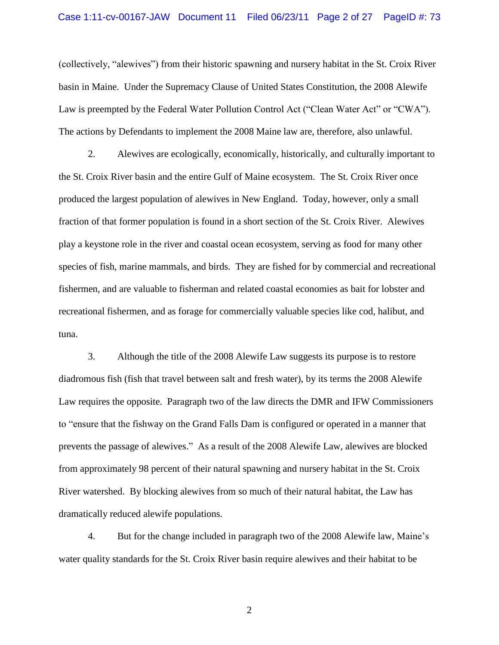(collectively, "alewives") from their historic spawning and nursery habitat in the St. Croix River basin in Maine. Under the Supremacy Clause of United States Constitution, the 2008 Alewife Law is preempted by the Federal Water Pollution Control Act ("Clean Water Act" or "CWA"). The actions by Defendants to implement the 2008 Maine law are, therefore, also unlawful.

2. Alewives are ecologically, economically, historically, and culturally important to the St. Croix River basin and the entire Gulf of Maine ecosystem. The St. Croix River once produced the largest population of alewives in New England. Today, however, only a small fraction of that former population is found in a short section of the St. Croix River. Alewives play a keystone role in the river and coastal ocean ecosystem, serving as food for many other species of fish, marine mammals, and birds. They are fished for by commercial and recreational fishermen, and are valuable to fisherman and related coastal economies as bait for lobster and recreational fishermen, and as forage for commercially valuable species like cod, halibut, and tuna.

3. Although the title of the 2008 Alewife Law suggests its purpose is to restore diadromous fish (fish that travel between salt and fresh water), by its terms the 2008 Alewife Law requires the opposite. Paragraph two of the law directs the DMR and IFW Commissioners to "ensure that the fishway on the Grand Falls Dam is configured or operated in a manner that prevents the passage of alewives." As a result of the 2008 Alewife Law, alewives are blocked from approximately 98 percent of their natural spawning and nursery habitat in the St. Croix River watershed. By blocking alewives from so much of their natural habitat, the Law has dramatically reduced alewife populations.

4. But for the change included in paragraph two of the 2008 Alewife law, Maine"s water quality standards for the St. Croix River basin require alewives and their habitat to be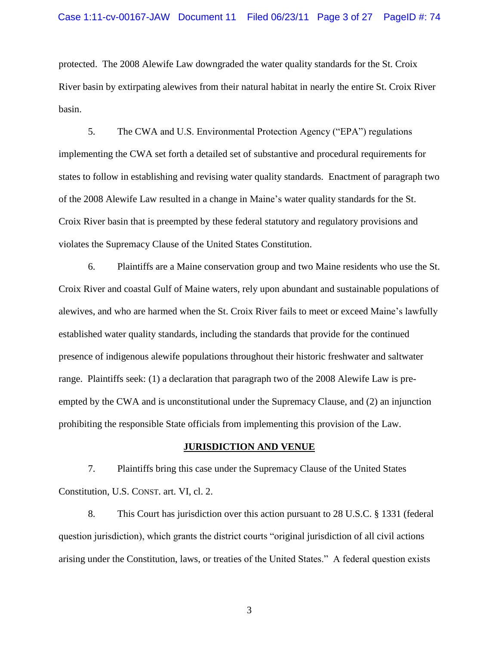protected. The 2008 Alewife Law downgraded the water quality standards for the St. Croix River basin by extirpating alewives from their natural habitat in nearly the entire St. Croix River basin.

5. The CWA and U.S. Environmental Protection Agency ("EPA") regulations implementing the CWA set forth a detailed set of substantive and procedural requirements for states to follow in establishing and revising water quality standards. Enactment of paragraph two of the 2008 Alewife Law resulted in a change in Maine"s water quality standards for the St. Croix River basin that is preempted by these federal statutory and regulatory provisions and violates the Supremacy Clause of the United States Constitution.

6. Plaintiffs are a Maine conservation group and two Maine residents who use the St. Croix River and coastal Gulf of Maine waters, rely upon abundant and sustainable populations of alewives, and who are harmed when the St. Croix River fails to meet or exceed Maine"s lawfully established water quality standards, including the standards that provide for the continued presence of indigenous alewife populations throughout their historic freshwater and saltwater range. Plaintiffs seek: (1) a declaration that paragraph two of the 2008 Alewife Law is preempted by the CWA and is unconstitutional under the Supremacy Clause, and (2) an injunction prohibiting the responsible State officials from implementing this provision of the Law.

# **JURISDICTION AND VENUE**

7. Plaintiffs bring this case under the Supremacy Clause of the United States Constitution, U.S. CONST. art. VI, cl. 2.

8. This Court has jurisdiction over this action pursuant to 28 U.S.C. § 1331 (federal question jurisdiction), which grants the district courts "original jurisdiction of all civil actions arising under the Constitution, laws, or treaties of the United States." A federal question exists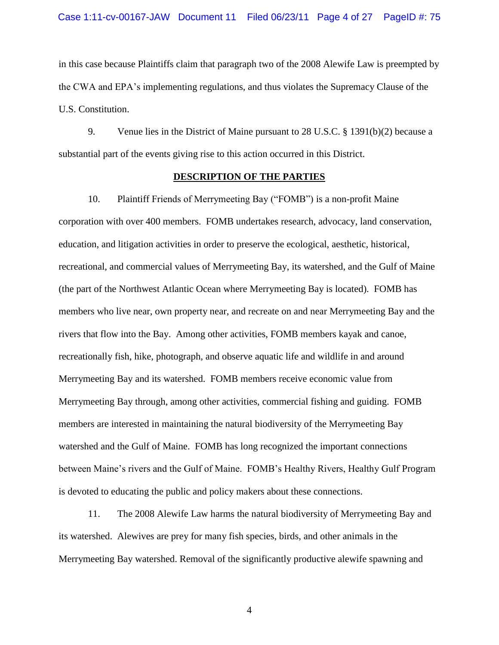in this case because Plaintiffs claim that paragraph two of the 2008 Alewife Law is preempted by the CWA and EPA"s implementing regulations, and thus violates the Supremacy Clause of the U.S. Constitution.

9. Venue lies in the District of Maine pursuant to 28 U.S.C. § 1391(b)(2) because a substantial part of the events giving rise to this action occurred in this District.

# **DESCRIPTION OF THE PARTIES**

10. Plaintiff Friends of Merrymeeting Bay ("FOMB") is a non-profit Maine corporation with over 400 members. FOMB undertakes research, advocacy, land conservation, education, and litigation activities in order to preserve the ecological, aesthetic, historical, recreational, and commercial values of Merrymeeting Bay, its watershed, and the Gulf of Maine (the part of the Northwest Atlantic Ocean where Merrymeeting Bay is located). FOMB has members who live near, own property near, and recreate on and near Merrymeeting Bay and the rivers that flow into the Bay. Among other activities, FOMB members kayak and canoe, recreationally fish, hike, photograph, and observe aquatic life and wildlife in and around Merrymeeting Bay and its watershed. FOMB members receive economic value from Merrymeeting Bay through, among other activities, commercial fishing and guiding. FOMB members are interested in maintaining the natural biodiversity of the Merrymeeting Bay watershed and the Gulf of Maine. FOMB has long recognized the important connections between Maine's rivers and the Gulf of Maine. FOMB's Healthy Rivers, Healthy Gulf Program is devoted to educating the public and policy makers about these connections.

11. The 2008 Alewife Law harms the natural biodiversity of Merrymeeting Bay and its watershed. Alewives are prey for many fish species, birds, and other animals in the Merrymeeting Bay watershed. Removal of the significantly productive alewife spawning and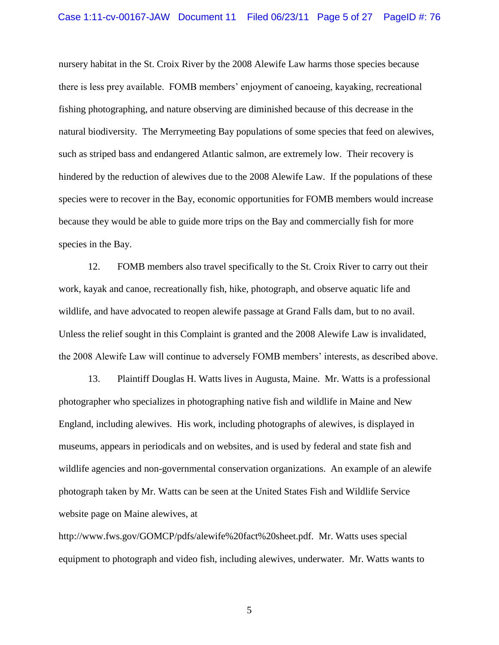nursery habitat in the St. Croix River by the 2008 Alewife Law harms those species because there is less prey available. FOMB members" enjoyment of canoeing, kayaking, recreational fishing photographing, and nature observing are diminished because of this decrease in the natural biodiversity. The Merrymeeting Bay populations of some species that feed on alewives, such as striped bass and endangered Atlantic salmon, are extremely low. Their recovery is hindered by the reduction of alewives due to the 2008 Alewife Law. If the populations of these species were to recover in the Bay, economic opportunities for FOMB members would increase because they would be able to guide more trips on the Bay and commercially fish for more species in the Bay.

12. FOMB members also travel specifically to the St. Croix River to carry out their work, kayak and canoe, recreationally fish, hike, photograph, and observe aquatic life and wildlife, and have advocated to reopen alewife passage at Grand Falls dam, but to no avail. Unless the relief sought in this Complaint is granted and the 2008 Alewife Law is invalidated, the 2008 Alewife Law will continue to adversely FOMB members" interests, as described above.

13. Plaintiff Douglas H. Watts lives in Augusta, Maine. Mr. Watts is a professional photographer who specializes in photographing native fish and wildlife in Maine and New England, including alewives. His work, including photographs of alewives, is displayed in museums, appears in periodicals and on websites, and is used by federal and state fish and wildlife agencies and non-governmental conservation organizations. An example of an alewife photograph taken by Mr. Watts can be seen at the United States Fish and Wildlife Service website page on Maine alewives, at

http://www.fws.gov/GOMCP/pdfs/alewife%20fact%20sheet.pdf. Mr. Watts uses special equipment to photograph and video fish, including alewives, underwater. Mr. Watts wants to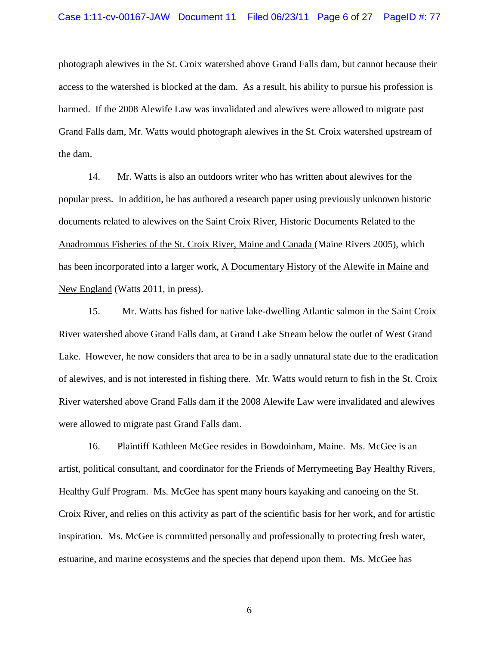photograph alewives in the St. Croix watershed above Grand Falls dam, but cannot because their access to the watershed is blocked at the dam. As a result, his ability to pursue his profession is harmed. If the 2008 Alewife Law was invalidated and alewives were allowed to migrate past Grand Falls dam, Mr. Watts would photograph alewives in the St. Croix watershed upstream of the dam.

14. Mr. Watts is also an outdoors writer who has written about alewives for the popular press. In addition, he has authored a research paper using previously unknown historic documents related to alewives on the Saint Croix River, Historic Documents Related to the Anadromous Fisheries of the St. Croix River, Maine and Canada (Maine Rivers 2005), which has been incorporated into a larger work, A Documentary History of the Alewife in Maine and New England (Watts 2011, in press).

15. Mr. Watts has fished for native lake-dwelling Atlantic salmon in the Saint Croix River watershed above Grand Falls dam, at Grand Lake Stream below the outlet of West Grand Lake. However, he now considers that area to be in a sadly unnatural state due to the eradication of alewives, and is not interested in fishing there. Mr. Watts would return to fish in the St. Croix River watershed above Grand Falls dam if the 2008 Alewife Law were invalidated and alewives were allowed to migrate past Grand Falls dam.

16. Plaintiff Kathleen McGee resides in Bowdoinham, Maine. Ms. McGee is an artist, political consultant, and coordinator for the Friends of Merrymeeting Bay Healthy Rivers, Healthy Gulf Program. Ms. McGee has spent many hours kayaking and canoeing on the St. Croix River, and relies on this activity as part of the scientific basis for her work, and for artistic inspiration. Ms. McGee is committed personally and professionally to protecting fresh water, estuarine, and marine ecosystems and the species that depend upon them. Ms. McGee has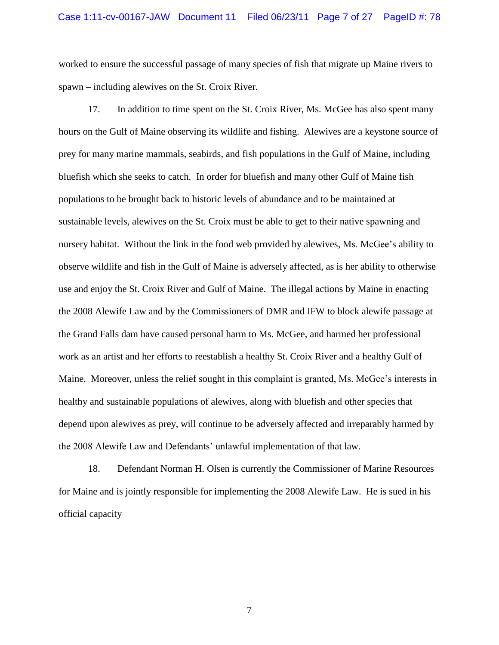worked to ensure the successful passage of many species of fish that migrate up Maine rivers to spawn – including alewives on the St. Croix River.

17. In addition to time spent on the St. Croix River, Ms. McGee has also spent many hours on the Gulf of Maine observing its wildlife and fishing. Alewives are a keystone source of prey for many marine mammals, seabirds, and fish populations in the Gulf of Maine, including bluefish which she seeks to catch. In order for bluefish and many other Gulf of Maine fish populations to be brought back to historic levels of abundance and to be maintained at sustainable levels, alewives on the St. Croix must be able to get to their native spawning and nursery habitat. Without the link in the food web provided by alewives, Ms. McGee"s ability to observe wildlife and fish in the Gulf of Maine is adversely affected, as is her ability to otherwise use and enjoy the St. Croix River and Gulf of Maine. The illegal actions by Maine in enacting the 2008 Alewife Law and by the Commissioners of DMR and IFW to block alewife passage at the Grand Falls dam have caused personal harm to Ms. McGee, and harmed her professional work as an artist and her efforts to reestablish a healthy St. Croix River and a healthy Gulf of Maine. Moreover, unless the relief sought in this complaint is granted, Ms. McGee's interests in healthy and sustainable populations of alewives, along with bluefish and other species that depend upon alewives as prey, will continue to be adversely affected and irreparably harmed by the 2008 Alewife Law and Defendants" unlawful implementation of that law.

18. Defendant Norman H. Olsen is currently the Commissioner of Marine Resources for Maine and is jointly responsible for implementing the 2008 Alewife Law. He is sued in his official capacity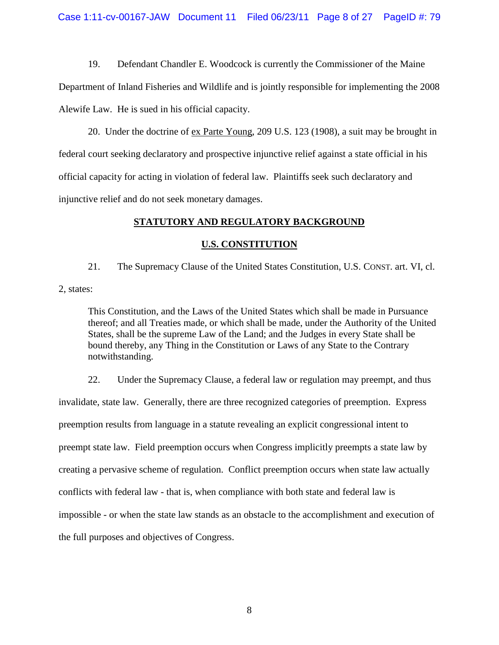19. Defendant Chandler E. Woodcock is currently the Commissioner of the Maine Department of Inland Fisheries and Wildlife and is jointly responsible for implementing the 2008 Alewife Law. He is sued in his official capacity.

20. Under the doctrine of ex Parte Young, 209 U.S. 123 (1908), a suit may be brought in federal court seeking declaratory and prospective injunctive relief against a state official in his official capacity for acting in violation of federal law. Plaintiffs seek such declaratory and injunctive relief and do not seek monetary damages.

# **STATUTORY AND REGULATORY BACKGROUND**

# **U.S. CONSTITUTION**

21. The Supremacy Clause of the United States Constitution, U.S. CONST. art. VI, cl. 2, states:

This Constitution, and the Laws of the United States which shall be made in Pursuance thereof; and all Treaties made, or which shall be made, under the Authority of the United States, shall be the supreme Law of the Land; and the Judges in every State shall be bound thereby, any Thing in the Constitution or Laws of any State to the Contrary notwithstanding.

22. Under the Supremacy Clause, a federal law or regulation may preempt, and thus invalidate, state law. Generally, there are three recognized categories of preemption. Express preemption results from language in a statute revealing an explicit congressional intent to preempt state law. Field preemption occurs when Congress implicitly preempts a state law by creating a pervasive scheme of regulation. Conflict preemption occurs when state law actually conflicts with federal law - that is, when compliance with both state and federal law is impossible - or when the state law stands as an obstacle to the accomplishment and execution of the full purposes and objectives of Congress.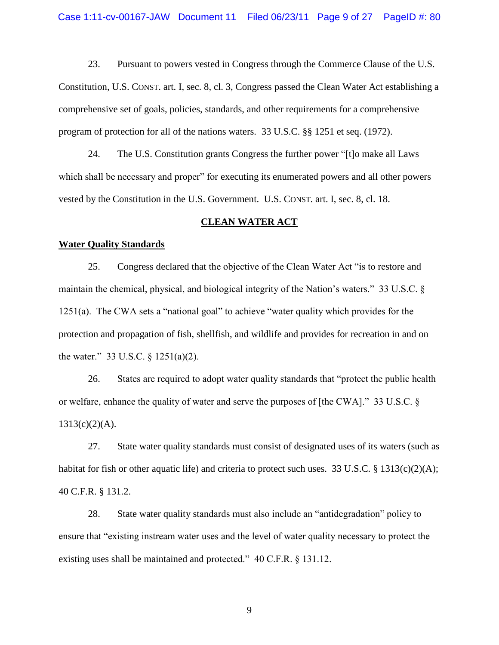23. Pursuant to powers vested in Congress through the Commerce Clause of the U.S. Constitution, U.S. CONST. art. I, sec. 8, cl. 3, Congress passed the Clean Water Act establishing a comprehensive set of goals, policies, standards, and other requirements for a comprehensive program of protection for all of the nations waters. 33 U.S.C. §§ 1251 et seq. (1972).

24. The U.S. Constitution grants Congress the further power "[t]o make all Laws which shall be necessary and proper" for executing its enumerated powers and all other powers vested by the Constitution in the U.S. Government. U.S. CONST. art. I, sec. 8, cl. 18.

# **CLEAN WATER ACT**

## **Water Quality Standards**

25. Congress declared that the objective of the Clean Water Act "is to restore and maintain the chemical, physical, and biological integrity of the Nation's waters." 33 U.S.C. § 1251(a). The CWA sets a "national goal" to achieve "water quality which provides for the protection and propagation of fish, shellfish, and wildlife and provides for recreation in and on the water." 33 U.S.C. § 1251(a)(2).

26. States are required to adopt water quality standards that "protect the public health or welfare, enhance the quality of water and serve the purposes of [the CWA]." 33 U.S.C. §  $1313(c)(2)(A)$ .

27. State water quality standards must consist of designated uses of its waters (such as habitat for fish or other aquatic life) and criteria to protect such uses. 33 U.S.C. § 1313(c)(2)(A); 40 C.F.R. § 131.2.

28. State water quality standards must also include an "antidegradation" policy to ensure that "existing instream water uses and the level of water quality necessary to protect the existing uses shall be maintained and protected." 40 C.F.R. § 131.12.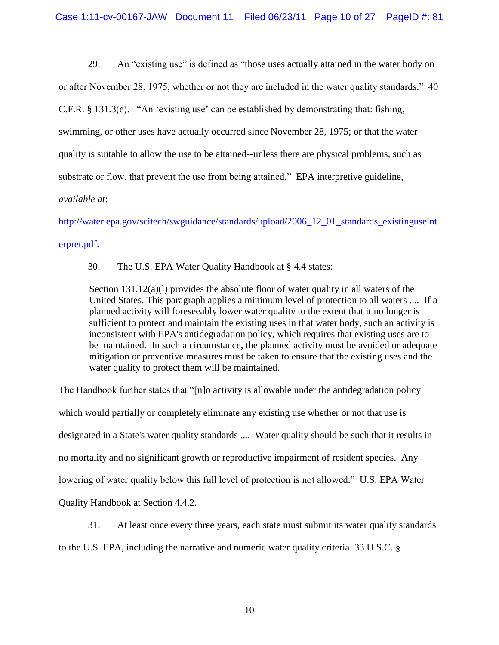29. An "existing use" is defined as "those uses actually attained in the water body on

or after November 28, 1975, whether or not they are included in the water quality standards." 40

C.F.R.  $\S$  131.3(e). "An 'existing use' can be established by demonstrating that: fishing,

swimming, or other uses have actually occurred since November 28, 1975; or that the water

quality is suitable to allow the use to be attained--unless there are physical problems, such as

substrate or flow, that prevent the use from being attained." EPA interpretive guideline,

# *available at*:

[http://water.epa.gov/scitech/swguidance/standards/upload/2006\\_12\\_01\\_standards\\_existinguseint](http://water.epa.gov/scitech/swguidance/standards/upload/2006_12_01_standards_existinguseinterpret.pdf) [erpret.pdf.](http://water.epa.gov/scitech/swguidance/standards/upload/2006_12_01_standards_existinguseinterpret.pdf)

30. The U.S. EPA Water Quality Handbook at § 4.4 states:

Section  $131.12(a)(1)$  provides the absolute floor of water quality in all waters of the United States. This paragraph applies a minimum level of protection to all waters .... If a planned activity will foreseeably lower water quality to the extent that it no longer is sufficient to protect and maintain the existing uses in that water body, such an activity is inconsistent with EPA's antidegradation policy, which requires that existing uses are to be maintained. In such a circumstance, the planned activity must be avoided or adequate mitigation or preventive measures must be taken to ensure that the existing uses and the water quality to protect them will be maintained.

The Handbook further states that "[n]o activity is allowable under the antidegradation policy which would partially or completely eliminate any existing use whether or not that use is designated in a State's water quality standards .... Water quality should be such that it results in no mortality and no significant growth or reproductive impairment of resident species. Any lowering of water quality below this full level of protection is not allowed." U.S. EPA Water Quality Handbook at Section 4.4.2.

31. At least once every three years, each state must submit its water quality standards to the U.S. EPA, including the narrative and numeric water quality criteria. 33 U.S.C. §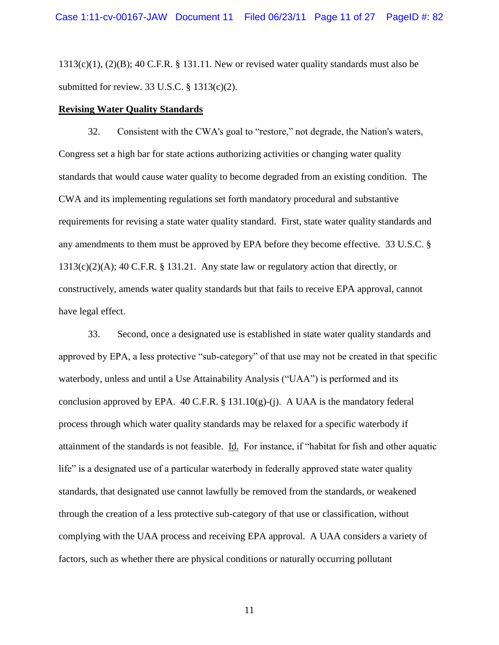$1313(c)(1)$ ,  $(2)(B)$ ;  $40$  C.F.R. § 131.11. New or revised water quality standards must also be submitted for review. 33 U.S.C.  $\S$  1313(c)(2).

## **Revising Water Quality Standards**

32. Consistent with the CWA's goal to "restore," not degrade, the Nation's waters, Congress set a high bar for state actions authorizing activities or changing water quality standards that would cause water quality to become degraded from an existing condition. The CWA and its implementing regulations set forth mandatory procedural and substantive requirements for revising a state water quality standard. First, state water quality standards and any amendments to them must be approved by EPA before they become effective*.* 33 U.S.C. §  $1313(c)(2)(A);$  40 C.F.R. § 131.21. Any state law or regulatory action that directly, or constructively, amends water quality standards but that fails to receive EPA approval, cannot have legal effect.

33. Second, once a designated use is established in state water quality standards and approved by EPA, a less protective "sub-category" of that use may not be created in that specific waterbody, unless and until a Use Attainability Analysis ("UAA") is performed and its conclusion approved by EPA. 40 C.F.R. § 131.10(g)-(j). A UAA is the mandatory federal process through which water quality standards may be relaxed for a specific waterbody if attainment of the standards is not feasible. Id. For instance, if "habitat for fish and other aquatic life" is a designated use of a particular waterbody in federally approved state water quality standards, that designated use cannot lawfully be removed from the standards, or weakened through the creation of a less protective sub-category of that use or classification, without complying with the UAA process and receiving EPA approval. A UAA considers a variety of factors, such as whether there are physical conditions or naturally occurring pollutant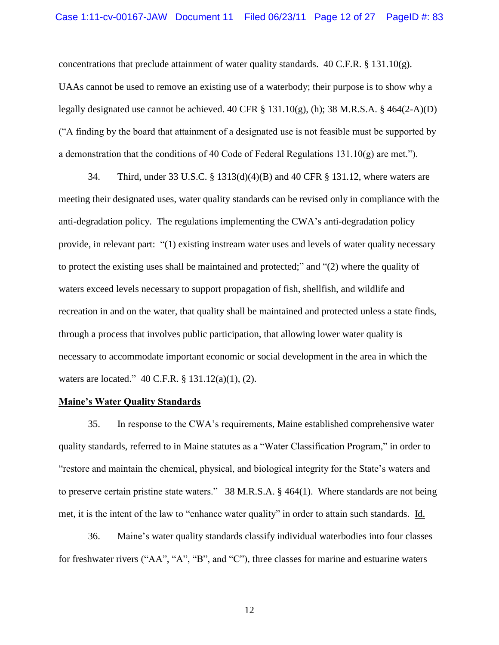concentrations that preclude attainment of water quality standards.  $40 \text{ C.F.R.}$  §  $131.10(g)$ . UAAs cannot be used to remove an existing use of a waterbody; their purpose is to show why a legally designated use cannot be achieved. 40 CFR  $\S$  131.10(g), (h); 38 M.R.S.A.  $\S$  464(2-A)(D) ("A finding by the board that attainment of a designated use is not feasible must be supported by a demonstration that the conditions of 40 Code of Federal Regulations 131.10(g) are met.").

34. Third, under 33 U.S.C. § 1313(d)(4)(B) and 40 CFR § 131.12, where waters are meeting their designated uses, water quality standards can be revised only in compliance with the anti-degradation policy. The regulations implementing the CWA"s anti-degradation policy provide, in relevant part: "(1) existing instream water uses and levels of water quality necessary to protect the existing uses shall be maintained and protected;" and "(2) where the quality of waters exceed levels necessary to support propagation of fish, shellfish, and wildlife and recreation in and on the water, that quality shall be maintained and protected unless a state finds, through a process that involves public participation, that allowing lower water quality is necessary to accommodate important economic or social development in the area in which the waters are located." 40 C.F.R. § 131.12(a)(1), (2).

## **Maine's Water Quality Standards**

35. In response to the CWA"s requirements, Maine established comprehensive water quality standards, referred to in Maine statutes as a "Water Classification Program," in order to "restore and maintain the chemical, physical, and biological integrity for the State"s waters and to preserve certain pristine state waters." 38 M.R.S.A. § 464(1). Where standards are not being met, it is the intent of the law to "enhance water quality" in order to attain such standards. Id.

36. Maine"s water quality standards classify individual waterbodies into four classes for freshwater rivers ("AA", "A", "B", and "C"), three classes for marine and estuarine waters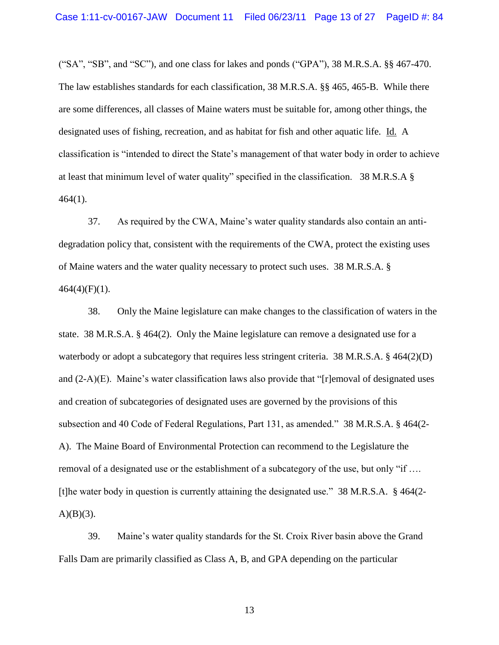$("SA", "SB", and "SC")$ , and one class for lakes and ponds  $("GPA")$ , 38 M.R.S.A. §§ 467-470. The law establishes standards for each classification, 38 M.R.S.A. §§ 465, 465-B. While there are some differences, all classes of Maine waters must be suitable for, among other things, the designated uses of fishing, recreation, and as habitat for fish and other aquatic life. Id. A classification is "intended to direct the State"s management of that water body in order to achieve at least that minimum level of water quality" specified in the classification. 38 M.R.S.A §  $464(1)$ .

37. As required by the CWA, Maine"s water quality standards also contain an antidegradation policy that, consistent with the requirements of the CWA, protect the existing uses of Maine waters and the water quality necessary to protect such uses. 38 M.R.S.A. §  $464(4)(F)(1)$ .

38. Only the Maine legislature can make changes to the classification of waters in the state. 38 M.R.S.A. § 464(2). Only the Maine legislature can remove a designated use for a waterbody or adopt a subcategory that requires less stringent criteria. 38 M.R.S.A.  $\S$  464(2)(D) and  $(2-A)(E)$ . Maine's water classification laws also provide that "[r]emoval of designated uses and creation of subcategories of designated uses are governed by the provisions of this subsection and 40 Code of Federal Regulations, Part 131, as amended." 38 M.R.S.A. § 464(2- A). The Maine Board of Environmental Protection can recommend to the Legislature the removal of a designated use or the establishment of a subcategory of the use, but only "if …. [t]he water body in question is currently attaining the designated use." 38 M.R.S.A. § 464(2-  $A)(B)(3)$ .

39. Maine"s water quality standards for the St. Croix River basin above the Grand Falls Dam are primarily classified as Class A, B, and GPA depending on the particular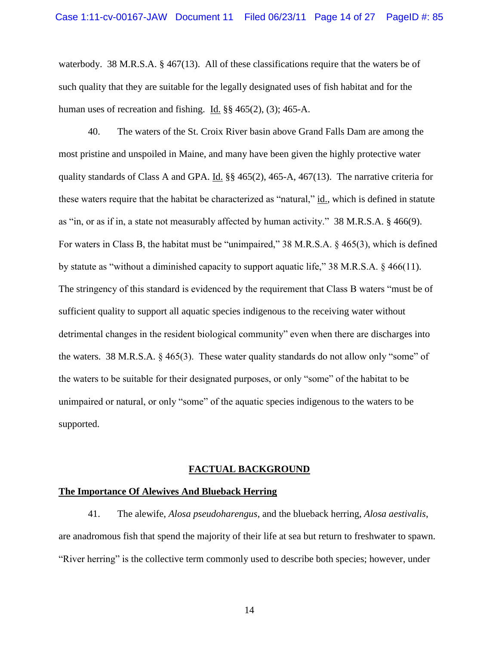waterbody. 38 M.R.S.A. § 467(13). All of these classifications require that the waters be of such quality that they are suitable for the legally designated uses of fish habitat and for the human uses of recreation and fishing. Id. §§ 465(2), (3); 465-A.

40. The waters of the St. Croix River basin above Grand Falls Dam are among the most pristine and unspoiled in Maine, and many have been given the highly protective water quality standards of Class A and GPA. Id.  $\S$ § 465(2), 465-A, 467(13). The narrative criteria for these waters require that the habitat be characterized as "natural," id., which is defined in statute as "in, or as if in, a state not measurably affected by human activity." 38 M.R.S.A. § 466(9). For waters in Class B, the habitat must be "unimpaired," 38 M.R.S.A. § 465(3), which is defined by statute as "without a diminished capacity to support aquatic life," 38 M.R.S.A. § 466(11). The stringency of this standard is evidenced by the requirement that Class B waters "must be of sufficient quality to support all aquatic species indigenous to the receiving water without detrimental changes in the resident biological community" even when there are discharges into the waters. 38 M.R.S.A. § 465(3). These water quality standards do not allow only "some" of the waters to be suitable for their designated purposes, or only "some" of the habitat to be unimpaired or natural, or only "some" of the aquatic species indigenous to the waters to be supported.

#### **FACTUAL BACKGROUND**

#### **The Importance Of Alewives And Blueback Herring**

41. The alewife, *Alosa pseudoharengus*, and the blueback herring, *Alosa aestivalis*, are anadromous fish that spend the majority of their life at sea but return to freshwater to spawn. "River herring" is the collective term commonly used to describe both species; however, under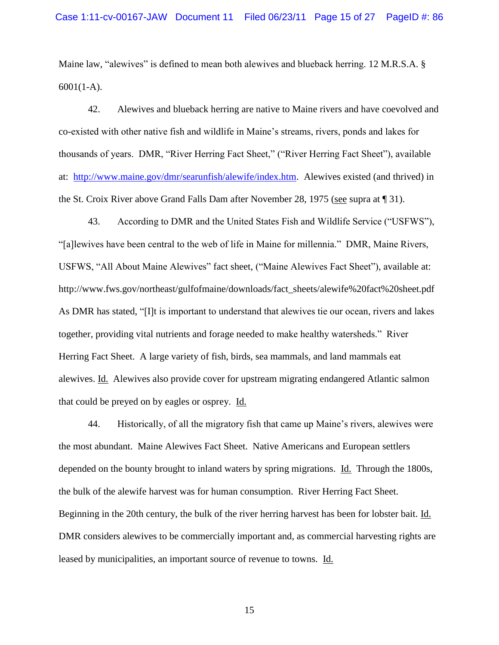Maine law, "alewives" is defined to mean both alewives and blueback herring. 12 M.R.S.A. § 6001(1-A).

42. Alewives and blueback herring are native to Maine rivers and have coevolved and co-existed with other native fish and wildlife in Maine"s streams, rivers, ponds and lakes for thousands of years. DMR, "River Herring Fact Sheet," ("River Herring Fact Sheet"), available at: [http://www.maine.gov/dmr/searunfish/alewife/index.htm.](http://www.maine.gov/dmr/searunfish/alewife/index.htm) Alewives existed (and thrived) in the St. Croix River above Grand Falls Dam after November 28, 1975 (see supra at ¶ 31).

43. According to DMR and the United States Fish and Wildlife Service ("USFWS"), "[a]lewives have been central to the web of life in Maine for millennia." DMR, Maine Rivers, USFWS, "All About Maine Alewives" fact sheet, ("Maine Alewives Fact Sheet"), available at: http://www.fws.gov/northeast/gulfofmaine/downloads/fact\_sheets/alewife%20fact%20sheet.pdf As DMR has stated, "[I]t is important to understand that alewives tie our ocean, rivers and lakes together, providing vital nutrients and forage needed to make healthy watersheds." River Herring Fact Sheet. A large variety of fish, birds, sea mammals, and land mammals eat alewives. Id. Alewives also provide cover for upstream migrating endangered Atlantic salmon that could be preyed on by eagles or osprey. Id.

44. Historically, of all the migratory fish that came up Maine"s rivers, alewives were the most abundant. Maine Alewives Fact Sheet. Native Americans and European settlers depended on the bounty brought to inland waters by spring migrations. Id. Through the 1800s, the bulk of the alewife harvest was for human consumption. River Herring Fact Sheet. Beginning in the 20th century, the bulk of the river herring harvest has been for lobster bait. Id. DMR considers alewives to be commercially important and, as commercial harvesting rights are leased by municipalities, an important source of revenue to towns. Id.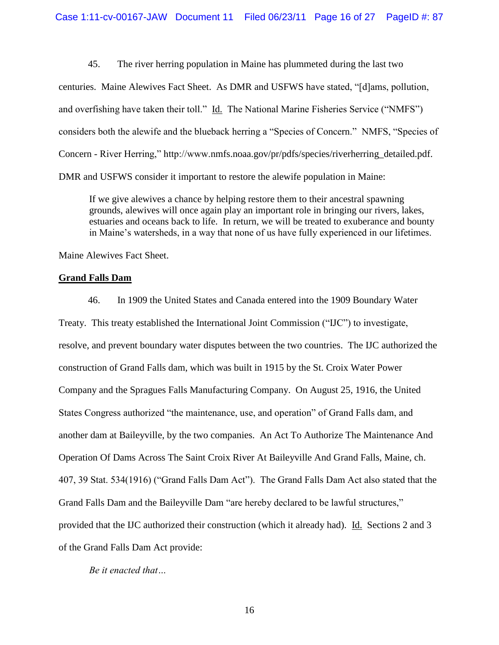45. The river herring population in Maine has plummeted during the last two centuries. Maine Alewives Fact Sheet. As DMR and USFWS have stated, "[d]ams, pollution, and overfishing have taken their toll." Id. The National Marine Fisheries Service ("NMFS") considers both the alewife and the blueback herring a "Species of Concern." NMFS, "Species of Concern - River Herring," http://www.nmfs.noaa.gov/pr/pdfs/species/riverherring\_detailed.pdf. DMR and USFWS consider it important to restore the alewife population in Maine:

If we give alewives a chance by helping restore them to their ancestral spawning grounds, alewives will once again play an important role in bringing our rivers, lakes, estuaries and oceans back to life. In return, we will be treated to exuberance and bounty in Maine's watersheds, in a way that none of us have fully experienced in our lifetimes.

Maine Alewives Fact Sheet.

# **Grand Falls Dam**

46. In 1909 the United States and Canada entered into the 1909 Boundary Water Treaty. This treaty established the International Joint Commission ("IJC") to investigate, resolve, and prevent boundary water disputes between the two countries. The IJC authorized the construction of Grand Falls dam, which was built in 1915 by the St. Croix Water Power Company and the Spragues Falls Manufacturing Company. On August 25, 1916, the United States Congress authorized "the maintenance, use, and operation" of Grand Falls dam, and another dam at Baileyville, by the two companies. An Act To Authorize The Maintenance And Operation Of Dams Across The Saint Croix River At Baileyville And Grand Falls, Maine, ch. 407, 39 Stat. 534(1916) ("Grand Falls Dam Act"). The Grand Falls Dam Act also stated that the Grand Falls Dam and the Baileyville Dam "are hereby declared to be lawful structures," provided that the IJC authorized their construction (which it already had). Id. Sections 2 and 3 of the Grand Falls Dam Act provide:

*Be it enacted that…*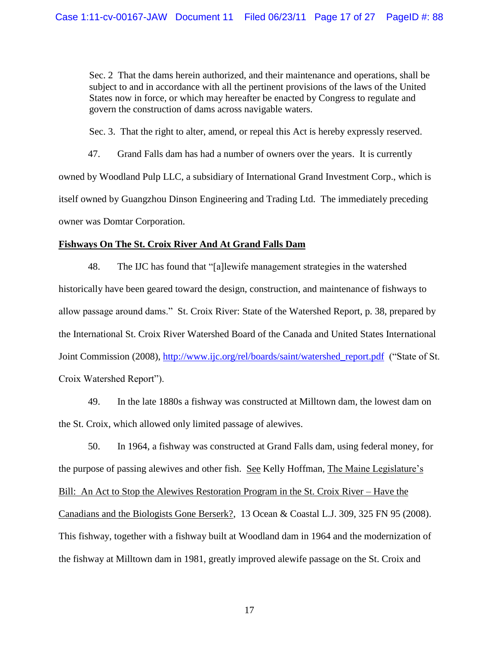Sec. 2 That the dams herein authorized, and their maintenance and operations, shall be subject to and in accordance with all the pertinent provisions of the laws of the United States now in force, or which may hereafter be enacted by Congress to regulate and govern the construction of dams across navigable waters.

Sec. 3. That the right to alter, amend, or repeal this Act is hereby expressly reserved.

47. Grand Falls dam has had a number of owners over the years. It is currently owned by Woodland Pulp LLC, a subsidiary of International Grand Investment Corp., which is itself owned by Guangzhou Dinson Engineering and Trading Ltd. The immediately preceding owner was Domtar Corporation.

# **Fishways On The St. Croix River And At Grand Falls Dam**

48. The IJC has found that "[a]lewife management strategies in the watershed historically have been geared toward the design, construction, and maintenance of fishways to allow passage around dams." St. Croix River: State of the Watershed Report, p. 38, prepared by the International St. Croix River Watershed Board of the Canada and United States International Joint Commission (2008), [http://www.ijc.org/rel/boards/saint/watershed\\_report.pdf](http://www.ijc.org/rel/boards/saint/watershed_report.pdf) ("State of St. Croix Watershed Report").

49. In the late 1880s a fishway was constructed at Milltown dam, the lowest dam on the St. Croix, which allowed only limited passage of alewives.

50. In 1964, a fishway was constructed at Grand Falls dam, using federal money, for the purpose of passing alewives and other fish. See Kelly Hoffman, The Maine Legislature's Bill: An Act to Stop the Alewives Restoration Program in the St. Croix River – Have the Canadians and the Biologists Gone Berserk?, 13 Ocean & Coastal L.J. 309, 325 FN 95 (2008). This fishway, together with a fishway built at Woodland dam in 1964 and the modernization of the fishway at Milltown dam in 1981, greatly improved alewife passage on the St. Croix and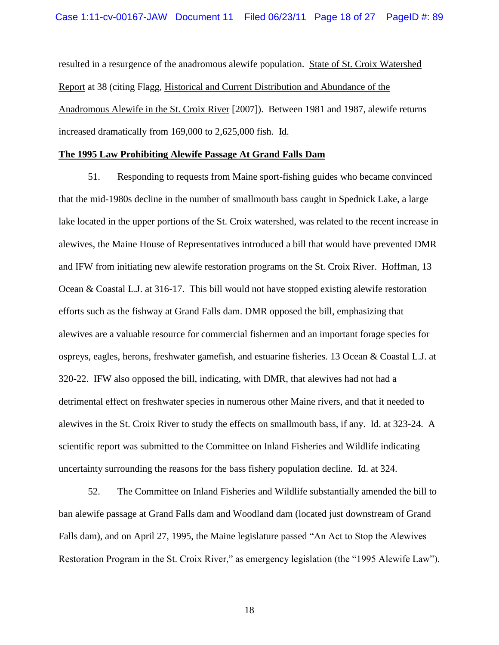resulted in a resurgence of the anadromous alewife population. State of St. Croix Watershed Report at 38 (citing Flagg, Historical and Current Distribution and Abundance of the Anadromous Alewife in the St. Croix River [2007]). Between 1981 and 1987, alewife returns increased dramatically from 169,000 to 2,625,000 fish. Id.

## **The 1995 Law Prohibiting Alewife Passage At Grand Falls Dam**

51. Responding to requests from Maine sport-fishing guides who became convinced that the mid-1980s decline in the number of smallmouth bass caught in Spednick Lake, a large lake located in the upper portions of the St. Croix watershed, was related to the recent increase in alewives, the Maine House of Representatives introduced a bill that would have prevented DMR and IFW from initiating new alewife restoration programs on the St. Croix River. Hoffman, 13 Ocean & Coastal L.J. at 316-17. This bill would not have stopped existing alewife restoration efforts such as the fishway at Grand Falls dam. DMR opposed the bill, emphasizing that alewives are a valuable resource for commercial fishermen and an important forage species for ospreys, eagles, herons, freshwater gamefish, and estuarine fisheries. 13 Ocean & Coastal L.J. at 320-22. IFW also opposed the bill, indicating, with DMR, that alewives had not had a detrimental effect on freshwater species in numerous other Maine rivers, and that it needed to alewives in the St. Croix River to study the effects on smallmouth bass, if any. Id. at 323-24. A scientific report was submitted to the Committee on Inland Fisheries and Wildlife indicating uncertainty surrounding the reasons for the bass fishery population decline. Id. at 324.

52. The Committee on Inland Fisheries and Wildlife substantially amended the bill to ban alewife passage at Grand Falls dam and Woodland dam (located just downstream of Grand Falls dam), and on April 27, 1995, the Maine legislature passed "An Act to Stop the Alewives Restoration Program in the St. Croix River," as emergency legislation (the "1995 Alewife Law").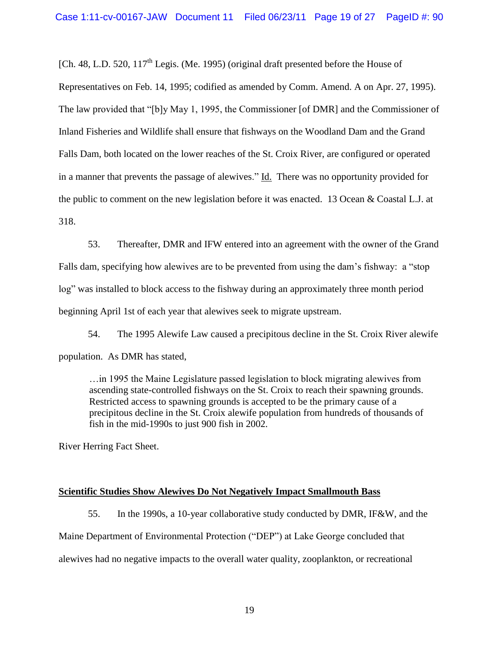[Ch. 48, L.D. 520,  $117<sup>th</sup>$  Legis. (Me. 1995) (original draft presented before the House of Representatives on Feb. 14, 1995; codified as amended by Comm. Amend. A on Apr. 27, 1995). The law provided that "[b]y May 1, 1995, the Commissioner [of DMR] and the Commissioner of Inland Fisheries and Wildlife shall ensure that fishways on the Woodland Dam and the Grand Falls Dam, both located on the lower reaches of the St. Croix River, are configured or operated in a manner that prevents the passage of alewives." Id. There was no opportunity provided for the public to comment on the new legislation before it was enacted. 13 Ocean & Coastal L.J. at 318.

53. Thereafter, DMR and IFW entered into an agreement with the owner of the Grand Falls dam, specifying how alewives are to be prevented from using the dam"s fishway: a "stop log" was installed to block access to the fishway during an approximately three month period beginning April 1st of each year that alewives seek to migrate upstream.

54. The 1995 Alewife Law caused a precipitous decline in the St. Croix River alewife population. As DMR has stated,

…in 1995 the Maine Legislature passed legislation to block migrating alewives from ascending state-controlled fishways on the St. Croix to reach their spawning grounds. Restricted access to spawning grounds is accepted to be the primary cause of a precipitous decline in the St. Croix alewife population from hundreds of thousands of fish in the mid-1990s to just 900 fish in 2002.

River Herring Fact Sheet.

# **Scientific Studies Show Alewives Do Not Negatively Impact Smallmouth Bass**

55. In the 1990s, a 10-year collaborative study conducted by DMR, IF&W, and the Maine Department of Environmental Protection ("DEP") at Lake George concluded that alewives had no negative impacts to the overall water quality, zooplankton, or recreational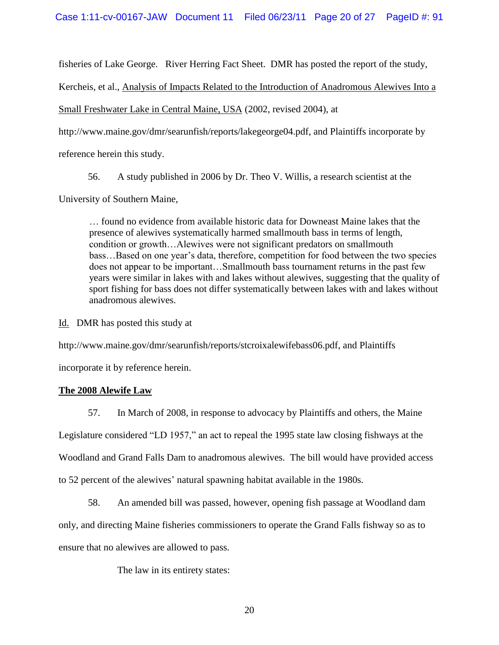fisheries of Lake George. River Herring Fact Sheet. DMR has posted the report of the study,

Kercheis, et al., Analysis of Impacts Related to the Introduction of Anadromous Alewives Into a

Small Freshwater Lake in Central Maine, USA (2002, revised 2004), at

http://www.maine.gov/dmr/searunfish/reports/lakegeorge04.pdf, and Plaintiffs incorporate by

reference herein this study.

56. A study published in 2006 by Dr. Theo V. Willis, a research scientist at the

University of Southern Maine,

… found no evidence from available historic data for Downeast Maine lakes that the presence of alewives systematically harmed smallmouth bass in terms of length, condition or growth…Alewives were not significant predators on smallmouth bass…Based on one year"s data, therefore, competition for food between the two species does not appear to be important…Smallmouth bass tournament returns in the past few years were similar in lakes with and lakes without alewives, suggesting that the quality of sport fishing for bass does not differ systematically between lakes with and lakes without anadromous alewives.

Id. DMR has posted this study at

http://www.maine.gov/dmr/searunfish/reports/stcroixalewifebass06.pdf, and Plaintiffs

incorporate it by reference herein.

# **The 2008 Alewife Law**

57. In March of 2008, in response to advocacy by Plaintiffs and others, the Maine Legislature considered "LD 1957," an act to repeal the 1995 state law closing fishways at the Woodland and Grand Falls Dam to anadromous alewives. The bill would have provided access to 52 percent of the alewives' natural spawning habitat available in the 1980s.

58. An amended bill was passed, however, opening fish passage at Woodland dam

only, and directing Maine fisheries commissioners to operate the Grand Falls fishway so as to

ensure that no alewives are allowed to pass.

The law in its entirety states: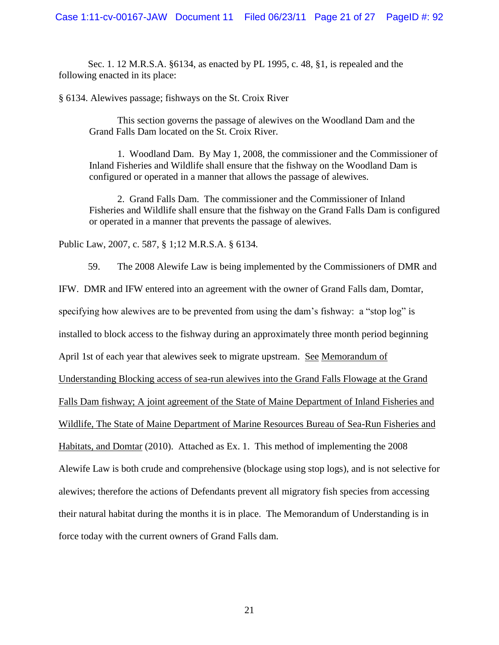Sec. 1. 12 M.R.S.A. §6134, as enacted by PL 1995, c. 48, §1, is repealed and the following enacted in its place:

§ 6134. Alewives passage; fishways on the St. Croix River

This section governs the passage of alewives on the Woodland Dam and the Grand Falls Dam located on the St. Croix River.

1. Woodland Dam. By May 1, 2008, the commissioner and the Commissioner of Inland Fisheries and Wildlife shall ensure that the fishway on the Woodland Dam is configured or operated in a manner that allows the passage of alewives.

2. Grand Falls Dam. The commissioner and the Commissioner of Inland Fisheries and Wildlife shall ensure that the fishway on the Grand Falls Dam is configured or operated in a manner that prevents the passage of alewives.

Public Law, 2007, c. 587, § 1;12 M.R.S.A. § 6134.

59. The 2008 Alewife Law is being implemented by the Commissioners of DMR and IFW. DMR and IFW entered into an agreement with the owner of Grand Falls dam, Domtar, specifying how alewives are to be prevented from using the dam"s fishway: a "stop log" is installed to block access to the fishway during an approximately three month period beginning April 1st of each year that alewives seek to migrate upstream. See Memorandum of Understanding Blocking access of sea-run alewives into the Grand Falls Flowage at the Grand Falls Dam fishway; A joint agreement of the State of Maine Department of Inland Fisheries and Wildlife, The State of Maine Department of Marine Resources Bureau of Sea-Run Fisheries and Habitats, and Domtar (2010). Attached as Ex. 1. This method of implementing the 2008 Alewife Law is both crude and comprehensive (blockage using stop logs), and is not selective for alewives; therefore the actions of Defendants prevent all migratory fish species from accessing their natural habitat during the months it is in place. The Memorandum of Understanding is in force today with the current owners of Grand Falls dam.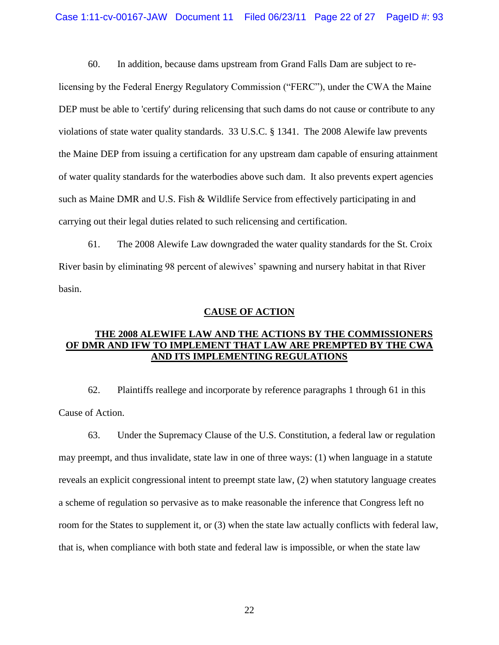60. In addition, because dams upstream from Grand Falls Dam are subject to re-

licensing by the Federal Energy Regulatory Commission ("FERC"), under the CWA the Maine DEP must be able to 'certify' during relicensing that such dams do not cause or contribute to any violations of state water quality standards. 33 U.S.C. § 1341. The 2008 Alewife law prevents the Maine DEP from issuing a certification for any upstream dam capable of ensuring attainment of water quality standards for the waterbodies above such dam. It also prevents expert agencies such as Maine DMR and U.S. Fish & Wildlife Service from effectively participating in and carrying out their legal duties related to such relicensing and certification.

61. The 2008 Alewife Law downgraded the water quality standards for the St. Croix River basin by eliminating 98 percent of alewives' spawning and nursery habitat in that River basin.

### **CAUSE OF ACTION**

# **THE 2008 ALEWIFE LAW AND THE ACTIONS BY THE COMMISSIONERS OF DMR AND IFW TO IMPLEMENT THAT LAW ARE PREMPTED BY THE CWA AND ITS IMPLEMENTING REGULATIONS**

62. Plaintiffs reallege and incorporate by reference paragraphs 1 through 61 in this Cause of Action.

63. Under the Supremacy Clause of the U.S. Constitution, a federal law or regulation may preempt, and thus invalidate, state law in one of three ways: (1) when language in a statute reveals an explicit congressional intent to preempt state law, (2) when statutory language creates a scheme of regulation so pervasive as to make reasonable the inference that Congress left no room for the States to supplement it, or (3) when the state law actually conflicts with federal law, that is, when compliance with both state and federal law is impossible, or when the state law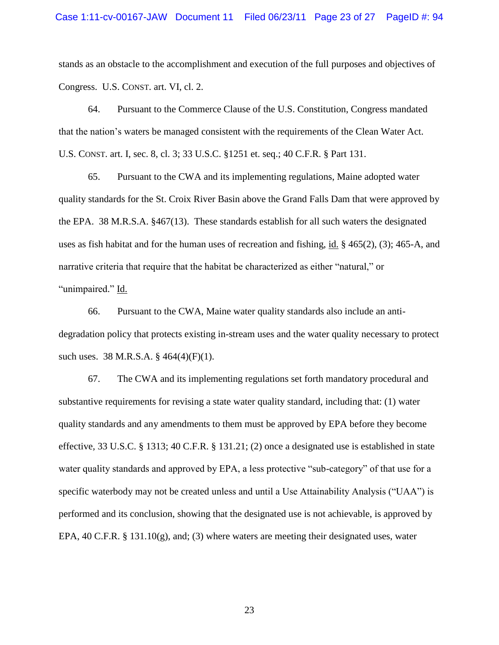stands as an obstacle to the accomplishment and execution of the full purposes and objectives of Congress. U.S. CONST. art. VI, cl. 2.

64. Pursuant to the Commerce Clause of the U.S. Constitution, Congress mandated that the nation"s waters be managed consistent with the requirements of the Clean Water Act. U.S. CONST. art. I, sec. 8, cl. 3; 33 U.S.C. §1251 et. seq.; 40 C.F.R. § Part 131.

65. Pursuant to the CWA and its implementing regulations, Maine adopted water quality standards for the St. Croix River Basin above the Grand Falls Dam that were approved by the EPA. 38 M.R.S.A. §467(13). These standards establish for all such waters the designated uses as fish habitat and for the human uses of recreation and fishing, id. § 465(2), (3); 465-A, and narrative criteria that require that the habitat be characterized as either "natural," or "unimpaired." Id.

66. Pursuant to the CWA, Maine water quality standards also include an antidegradation policy that protects existing in-stream uses and the water quality necessary to protect such uses. 38 M.R.S.A. § 464(4)(F)(1).

67. The CWA and its implementing regulations set forth mandatory procedural and substantive requirements for revising a state water quality standard, including that: (1) water quality standards and any amendments to them must be approved by EPA before they become effective*,* 33 U.S.C. § 1313; 40 C.F.R. § 131.21; (2) once a designated use is established in state water quality standards and approved by EPA, a less protective "sub-category" of that use for a specific waterbody may not be created unless and until a Use Attainability Analysis ("UAA") is performed and its conclusion, showing that the designated use is not achievable, is approved by EPA,  $40$  C.F.R. § 131.10(g), and; (3) where waters are meeting their designated uses, water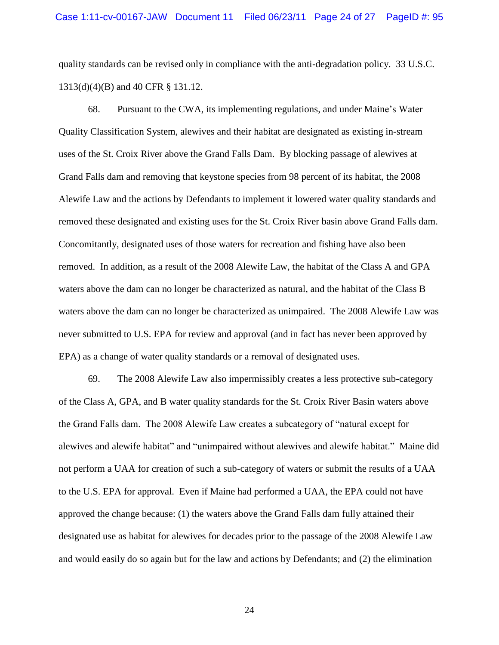quality standards can be revised only in compliance with the anti-degradation policy. 33 U.S.C. 1313(d)(4)(B) and 40 CFR § 131.12.

68. Pursuant to the CWA, its implementing regulations, and under Maine"s Water Quality Classification System, alewives and their habitat are designated as existing in-stream uses of the St. Croix River above the Grand Falls Dam. By blocking passage of alewives at Grand Falls dam and removing that keystone species from 98 percent of its habitat, the 2008 Alewife Law and the actions by Defendants to implement it lowered water quality standards and removed these designated and existing uses for the St. Croix River basin above Grand Falls dam. Concomitantly, designated uses of those waters for recreation and fishing have also been removed. In addition, as a result of the 2008 Alewife Law, the habitat of the Class A and GPA waters above the dam can no longer be characterized as natural, and the habitat of the Class B waters above the dam can no longer be characterized as unimpaired. The 2008 Alewife Law was never submitted to U.S. EPA for review and approval (and in fact has never been approved by EPA) as a change of water quality standards or a removal of designated uses.

69. The 2008 Alewife Law also impermissibly creates a less protective sub-category of the Class A, GPA, and B water quality standards for the St. Croix River Basin waters above the Grand Falls dam. The 2008 Alewife Law creates a subcategory of "natural except for alewives and alewife habitat" and "unimpaired without alewives and alewife habitat." Maine did not perform a UAA for creation of such a sub-category of waters or submit the results of a UAA to the U.S. EPA for approval. Even if Maine had performed a UAA, the EPA could not have approved the change because: (1) the waters above the Grand Falls dam fully attained their designated use as habitat for alewives for decades prior to the passage of the 2008 Alewife Law and would easily do so again but for the law and actions by Defendants; and (2) the elimination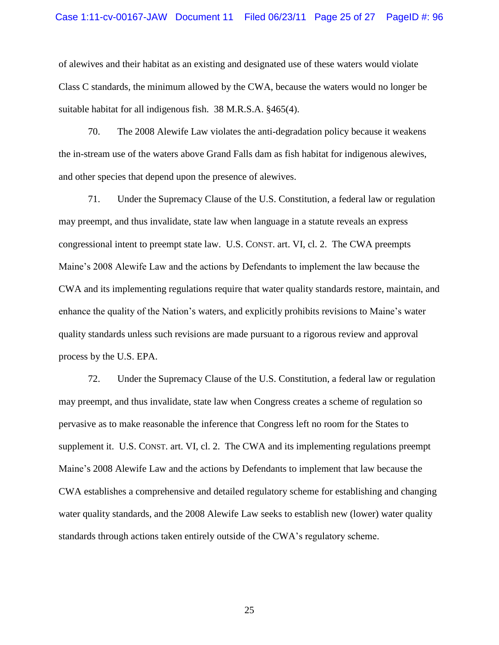of alewives and their habitat as an existing and designated use of these waters would violate Class C standards, the minimum allowed by the CWA, because the waters would no longer be suitable habitat for all indigenous fish. 38 M.R.S.A. §465(4).

70. The 2008 Alewife Law violates the anti-degradation policy because it weakens the in-stream use of the waters above Grand Falls dam as fish habitat for indigenous alewives, and other species that depend upon the presence of alewives.

71. Under the Supremacy Clause of the U.S. Constitution, a federal law or regulation may preempt, and thus invalidate, state law when language in a statute reveals an express congressional intent to preempt state law. U.S. CONST. art. VI, cl. 2. The CWA preempts Maine"s 2008 Alewife Law and the actions by Defendants to implement the law because the CWA and its implementing regulations require that water quality standards restore, maintain, and enhance the quality of the Nation"s waters, and explicitly prohibits revisions to Maine"s water quality standards unless such revisions are made pursuant to a rigorous review and approval process by the U.S. EPA.

72. Under the Supremacy Clause of the U.S. Constitution, a federal law or regulation may preempt, and thus invalidate, state law when Congress creates a scheme of regulation so pervasive as to make reasonable the inference that Congress left no room for the States to supplement it. U.S. CONST. art. VI, cl. 2. The CWA and its implementing regulations preempt Maine"s 2008 Alewife Law and the actions by Defendants to implement that law because the CWA establishes a comprehensive and detailed regulatory scheme for establishing and changing water quality standards, and the 2008 Alewife Law seeks to establish new (lower) water quality standards through actions taken entirely outside of the CWA"s regulatory scheme.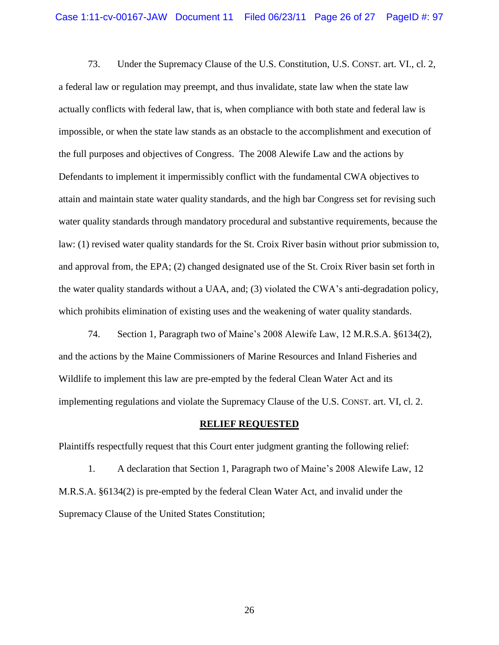73. Under the Supremacy Clause of the U.S. Constitution, U.S. CONST. art. VI., cl. 2, a federal law or regulation may preempt, and thus invalidate, state law when the state law actually conflicts with federal law, that is, when compliance with both state and federal law is impossible, or when the state law stands as an obstacle to the accomplishment and execution of the full purposes and objectives of Congress. The 2008 Alewife Law and the actions by Defendants to implement it impermissibly conflict with the fundamental CWA objectives to attain and maintain state water quality standards, and the high bar Congress set for revising such water quality standards through mandatory procedural and substantive requirements, because the law: (1) revised water quality standards for the St. Croix River basin without prior submission to, and approval from, the EPA; (2) changed designated use of the St. Croix River basin set forth in the water quality standards without a UAA, and; (3) violated the CWA"s anti-degradation policy, which prohibits elimination of existing uses and the weakening of water quality standards.

74. Section 1, Paragraph two of Maine"s 2008 Alewife Law, 12 M.R.S.A. §6134(2), and the actions by the Maine Commissioners of Marine Resources and Inland Fisheries and Wildlife to implement this law are pre-empted by the federal Clean Water Act and its implementing regulations and violate the Supremacy Clause of the U.S. CONST. art. VI, cl. 2.

#### **RELIEF REQUESTED**

Plaintiffs respectfully request that this Court enter judgment granting the following relief:

1. A declaration that Section 1, Paragraph two of Maine"s 2008 Alewife Law, 12 M.R.S.A. §6134(2) is pre-empted by the federal Clean Water Act, and invalid under the Supremacy Clause of the United States Constitution;